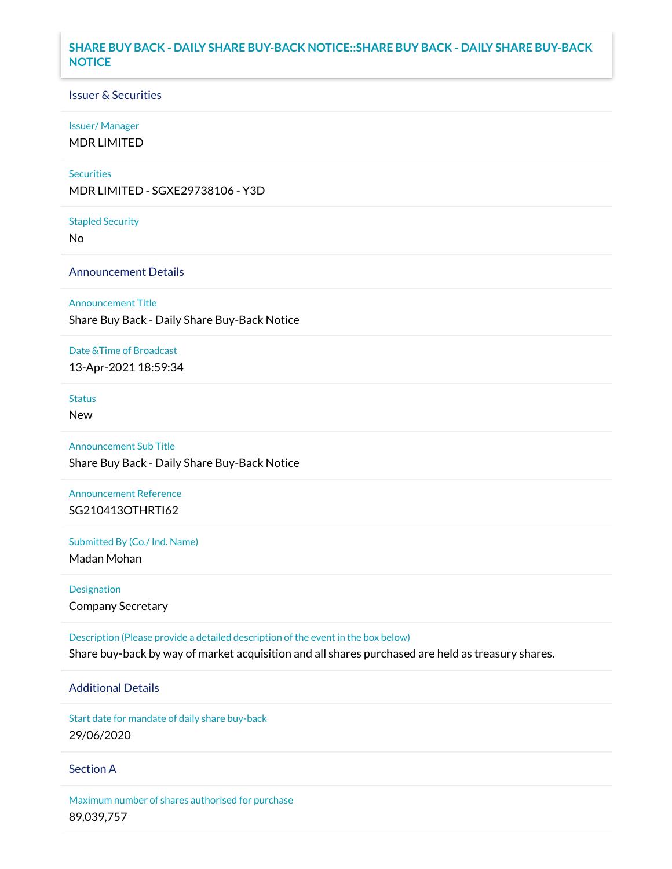### **SHARE BUY BACK - DAILY SHARE BUY-BACK NOTICE::SHARE BUY BACK - DAILY SHARE BUY-BACK NOTICE**

### Issuer & Securities

#### Issuer/ Manager

MDR LIMITED

#### **Securities**

MDR LIMITED - SGXE29738106 - Y3D

Stapled Security

No

### Announcement Details

Announcement Title

Share Buy Back - Daily Share Buy-Back Notice

#### Date &Time of Broadcast

13-Apr-2021 18:59:34

# **Status**

New

# Announcement Sub Title

Share Buy Back - Daily Share Buy-Back Notice

# Announcement Reference SG210413OTHRTI62

Submitted By (Co./ Ind. Name)

Madan Mohan

Designation Company Secretary

Description (Please provide a detailed description of the event in the box below) Share buy-back by way of market acquisition and all shares purchased are held as treasury shares.

# Additional Details

Start date for mandate of daily share buy-back 29/06/2020

### Section A

Maximum number of shares authorised for purchase 89,039,757